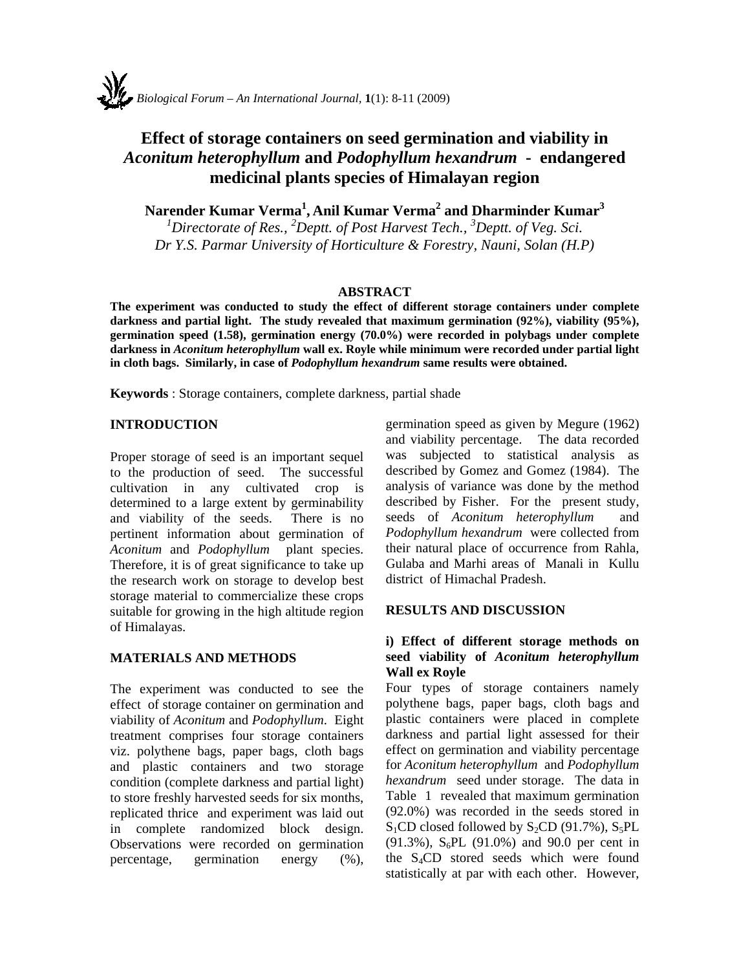# **Effect of storage containers on seed germination and viability in**  *Aconitum heterophyllum* **and** *Podophyllum hexandrum* **- endangered medicinal plants species of Himalayan region**

**Narender Kumar Verma1 , Anil Kumar Verma2 and Dharminder Kumar<sup>3</sup>**

<sup>1</sup>Directorate of Res., <sup>2</sup>Deptt. of Post Harvest Tech., <sup>3</sup>Deptt. of Veg. Sci. *Dr Y.S. Parmar University of Horticulture & Forestry, Nauni, Solan (H.P)* 

#### **ABSTRACT**

**The experiment was conducted to study the effect of different storage containers under complete darkness and partial light. The study revealed that maximum germination (92%), viability (95%), germination speed (1.58), germination energy (70.0%) were recorded in polybags under complete darkness in** *Aconitum heterophyllum* **wall ex. Royle while minimum were recorded under partial light in cloth bags. Similarly, in case of** *Podophyllum hexandrum* **same results were obtained.** 

**Keywords** : Storage containers, complete darkness, partial shade

### **INTRODUCTION**

Proper storage of seed is an important sequel to the production of seed. The successful cultivation in any cultivated crop is determined to a large extent by germinability and viability of the seeds. There is no pertinent information about germination of *Aconitum* and *Podophyllum* plant species. Therefore, it is of great significance to take up the research work on storage to develop best storage material to commercialize these crops suitable for growing in the high altitude region of Himalayas.

## **MATERIALS AND METHODS**

The experiment was conducted to see the effect of storage container on germination and viability of *Aconitum* and *Podophyllum*. Eight treatment comprises four storage containers viz. polythene bags, paper bags, cloth bags and plastic containers and two storage condition (complete darkness and partial light) to store freshly harvested seeds for six months, replicated thrice and experiment was laid out in complete randomized block design. Observations were recorded on germination percentage, germination energy (%), germination speed as given by Megure (1962) and viability percentage. The data recorded was subjected to statistical analysis as described by Gomez and Gomez (1984). The analysis of variance was done by the method described by Fisher. For the present study, seeds of *Aconitum heterophyllum* and *Podophyllum hexandrum* were collected from their natural place of occurrence from Rahla, Gulaba and Marhi areas of Manali in Kullu district of Himachal Pradesh.

#### **RESULTS AND DISCUSSION**

#### **i) Effect of different storage methods on seed viability of** *Aconitum heterophyllum* **Wall ex Royle**

Four types of storage containers namely polythene bags, paper bags, cloth bags and plastic containers were placed in complete darkness and partial light assessed for their effect on germination and viability percentage for *Aconitum heterophyllum* and *Podophyllum hexandrum* seed under storage. The data in Table 1 revealed that maximum germination (92.0%) was recorded in the seeds stored in  $S_1CD$  closed followed by  $S_2CD$  (91.7%),  $S_5PL$ (91.3%),  $S_6PL$  (91.0%) and 90.0 per cent in the S4CD stored seeds which were found statistically at par with each other. However,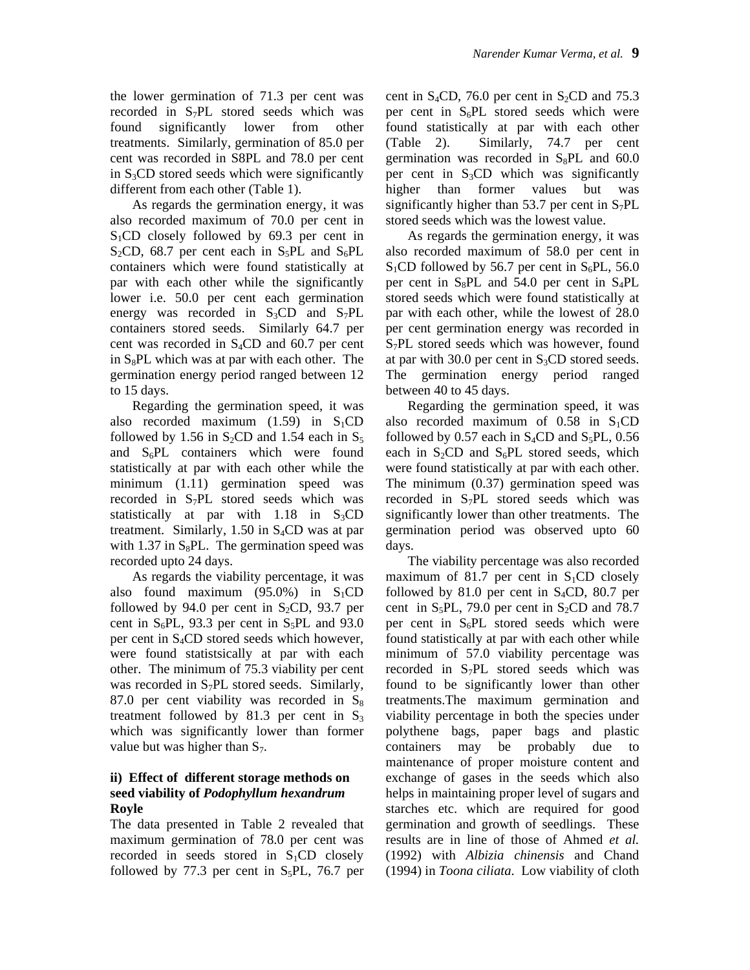the lower germination of 71.3 per cent was recorded in S7PL stored seeds which was found significantly lower from other treatments. Similarly, germination of 85.0 per cent was recorded in S8PL and 78.0 per cent in  $S_3CD$  stored seeds which were significantly different from each other (Table 1).

As regards the germination energy, it was also recorded maximum of 70.0 per cent in  $S_1CD$  closely followed by 69.3 per cent in  $S_2CD$ , 68.7 per cent each in  $S_5PL$  and  $S_6PL$ containers which were found statistically at par with each other while the significantly lower i.e. 50.0 per cent each germination energy was recorded in  $S_3CD$  and  $S_7PL$ containers stored seeds. Similarly 64.7 per cent was recorded in  $S_4CD$  and 60.7 per cent in  $S_8PL$  which was at par with each other. The germination energy period ranged between 12 to 15 days.

Regarding the germination speed, it was also recorded maximum  $(1.59)$  in S<sub>1</sub>CD followed by 1.56 in  $S_2CD$  and 1.54 each in  $S_5$ and  $S_6PL$  containers which were found statistically at par with each other while the minimum (1.11) germination speed was recorded in  $S_7PL$  stored seeds which was statistically at par with  $1.18$  in S<sub>3</sub>CD treatment. Similarly,  $1.50$  in S<sub>4</sub>CD was at par with 1.37 in  $S_8PL$ . The germination speed was recorded upto 24 days.

As regards the viability percentage, it was also found maximum (95.0%) in  $S_1CD$ followed by 94.0 per cent in  $S_2CD$ , 93.7 per cent in  $S_6PL$ , 93.3 per cent in  $S_5PL$  and 93.0 per cent in  $S_4CD$  stored seeds which however, were found statistsically at par with each other. The minimum of 75.3 viability per cent was recorded in S<sub>7</sub>PL stored seeds. Similarly, 87.0 per cent viability was recorded in  $S_8$ treatment followed by 81.3 per cent in  $S_3$ which was significantly lower than former value but was higher than  $S_7$ .

#### **ii) Effect of different storage methods on seed viability of** *Podophyllum hexandrum*  **Royle**

The data presented in Table 2 revealed that maximum germination of 78.0 per cent was recorded in seeds stored in  $S_1CD$  closely followed by 77.3 per cent in  $S_5PL$ , 76.7 per cent in  $S_4CD$ , 76.0 per cent in  $S_2CD$  and 75.3 per cent in  $S_6PL$  stored seeds which were found statistically at par with each other (Table 2). Similarly, 74.7 per cent germination was recorded in  $S_8PL$  and 60.0 per cent in  $S_3CD$  which was significantly higher than former values but was significantly higher than 53.7 per cent in  $S_7PL$ stored seeds which was the lowest value.

As regards the germination energy, it was also recorded maximum of 58.0 per cent in  $S_1$ CD followed by 56.7 per cent in  $S_6$ PL, 56.0 per cent in  $S_8PL$  and 54.0 per cent in  $S_4PL$ stored seeds which were found statistically at par with each other, while the lowest of 28.0 per cent germination energy was recorded in S<sub>7</sub>PL stored seeds which was however, found at par with 30.0 per cent in  $S_3CD$  stored seeds. The germination energy period ranged between 40 to 45 days.

Regarding the germination speed, it was also recorded maximum of  $0.58$  in S<sub>1</sub>CD followed by 0.57 each in  $S_4CD$  and  $S_5PL$ , 0.56 each in  $S_2CD$  and  $S_6PL$  stored seeds, which were found statistically at par with each other. The minimum (0.37) germination speed was recorded in  $S_7PL$  stored seeds which was significantly lower than other treatments. The germination period was observed upto 60 days.

The viability percentage was also recorded maximum of 81.7 per cent in  $S_1CD$  closely followed by 81.0 per cent in  $S_4CD$ , 80.7 per cent in  $S_5PL$ , 79.0 per cent in  $S_2CD$  and 78.7 per cent in  $S_6PL$  stored seeds which were found statistically at par with each other while minimum of 57.0 viability percentage was recorded in  $S_7PL$  stored seeds which was found to be significantly lower than other treatments.The maximum germination and viability percentage in both the species under polythene bags, paper bags and plastic containers may be probably due to maintenance of proper moisture content and exchange of gases in the seeds which also helps in maintaining proper level of sugars and starches etc. which are required for good germination and growth of seedlings. These results are in line of those of Ahmed *et al.*  (1992) with *Albizia chinensis* and Chand (1994) in *Toona ciliata*. Low viability of cloth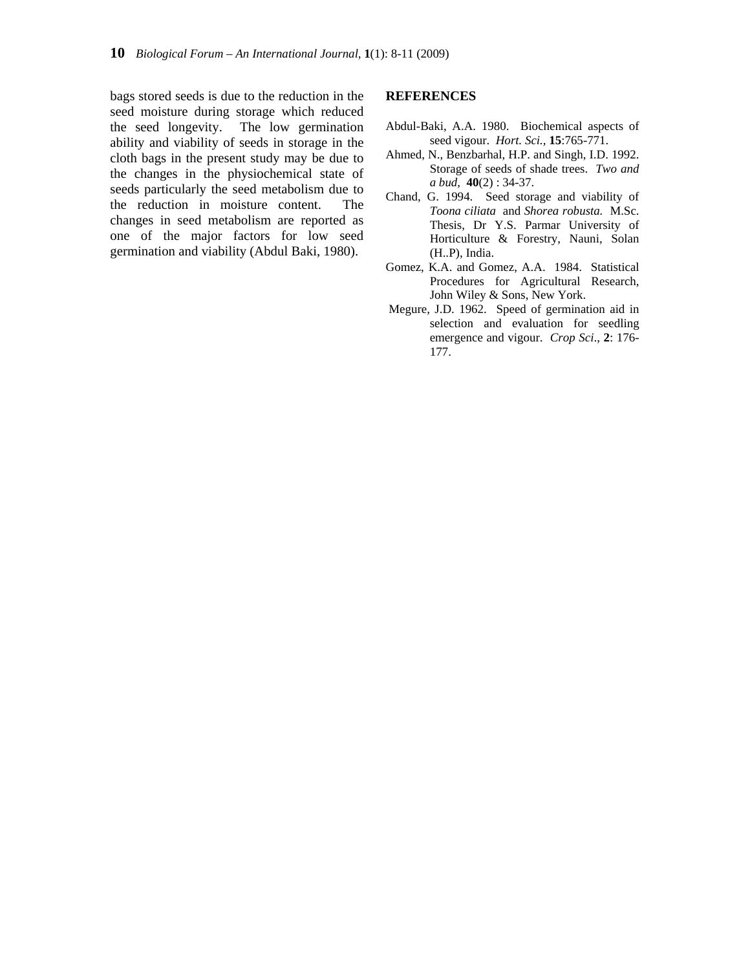bags stored seeds is due to the reduction in the seed moisture during storage which reduced the seed longevity. The low germination ability and viability of seeds in storage in the cloth bags in the present study may be due to the changes in the physiochemical state of seeds particularly the seed metabolism due to the reduction in moisture content. The changes in seed metabolism are reported as one of the major factors for low seed germination and viability (Abdul Baki, 1980).

#### **REFERENCES**

- Abdul-Baki, A.A. 1980. Biochemical aspects of seed vigour. *Hort. Sci.,* **15**:765-771.
- Ahmed, N., Benzbarhal, H.P. and Singh, I.D. 1992. Storage of seeds of shade trees. *Two and a bud,* **40**(2) : 34-37.
- Chand, G. 1994. Seed storage and viability of *Toona ciliata* and *Shorea robusta.* M.Sc. Thesis, Dr Y.S. Parmar University of Horticulture & Forestry, Nauni, Solan (H..P), India.
- Gomez, K.A. and Gomez, A.A. 1984. Statistical Procedures for Agricultural Research, John Wiley & Sons, New York.
- Megure, J.D. 1962. Speed of germination aid in selection and evaluation for seedling emergence and vigour. *Crop Sci*., **2**: 176- 177.